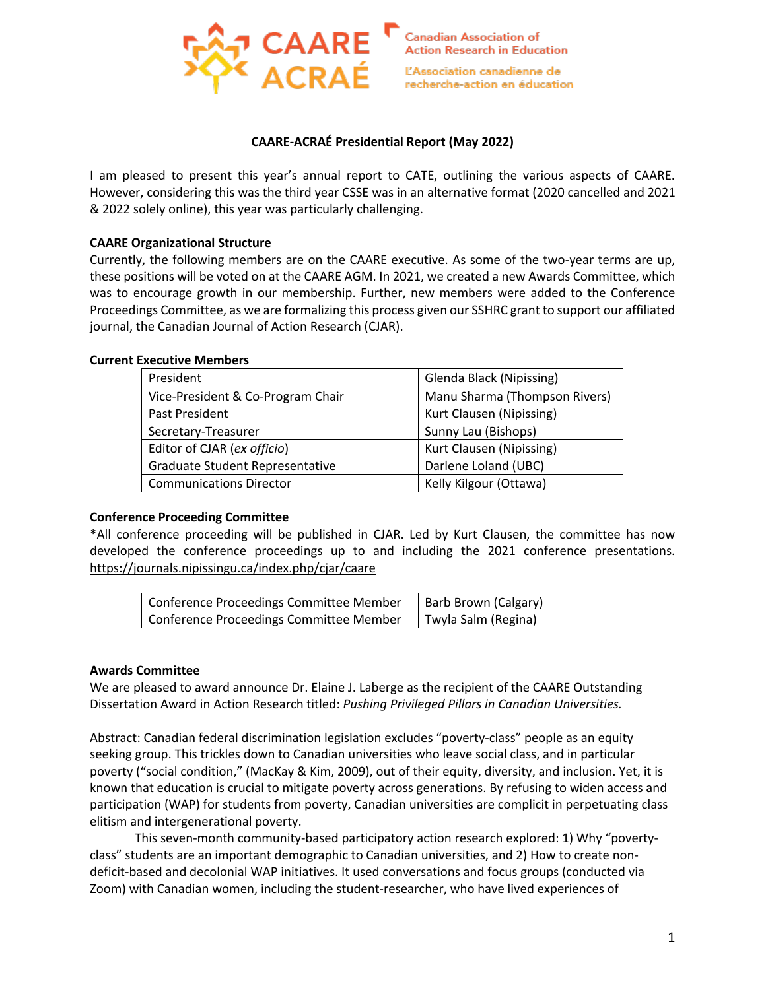

### **CAARE-ACRAÉ Presidential Report (May 2022)**

I am pleased to present this year's annual report to CATE, outlining the various aspects of CAARE. However, considering this was the third year CSSE was in an alternative format (2020 cancelled and 2021 & 2022 solely online), this year was particularly challenging.

### **CAARE Organizational Structure**

Currently, the following members are on the CAARE executive. As some of the two-year terms are up, these positions will be voted on at the CAARE AGM. In 2021, we created a new Awards Committee, which was to encourage growth in our membership. Further, new members were added to the Conference Proceedings Committee, as we are formalizing this process given our SSHRC grant to support our affiliated journal, the Canadian Journal of Action Research (CJAR).

#### **Current Executive Members**

| President                         | Glenda Black (Nipissing)      |
|-----------------------------------|-------------------------------|
| Vice-President & Co-Program Chair | Manu Sharma (Thompson Rivers) |
| Past President                    | Kurt Clausen (Nipissing)      |
| Secretary-Treasurer               | Sunny Lau (Bishops)           |
| Editor of CJAR (ex officio)       | Kurt Clausen (Nipissing)      |
| Graduate Student Representative   | Darlene Loland (UBC)          |
| <b>Communications Director</b>    | Kelly Kilgour (Ottawa)        |

#### **Conference Proceeding Committee**

\*All conference proceeding will be published in CJAR. Led by Kurt Clausen, the committee has now developed the conference proceedings up to and including the 2021 conference presentations. https://journals.nipissingu.ca/index.php/cjar/caare

| <sup>1</sup> Conference Proceedings Committee Member | Barb Brown (Calgary) |
|------------------------------------------------------|----------------------|
| Conference Proceedings Committee Member              | Twyla Salm (Regina)  |

#### **Awards Committee**

We are pleased to award announce Dr. Elaine J. Laberge as the recipient of the CAARE Outstanding Dissertation Award in Action Research titled: *Pushing Privileged Pillars in Canadian Universities.* 

Abstract: Canadian federal discrimination legislation excludes "poverty-class" people as an equity seeking group. This trickles down to Canadian universities who leave social class, and in particular poverty ("social condition," (MacKay & Kim, 2009), out of their equity, diversity, and inclusion. Yet, it is known that education is crucial to mitigate poverty across generations. By refusing to widen access and participation (WAP) for students from poverty, Canadian universities are complicit in perpetuating class elitism and intergenerational poverty.

This seven-month community-based participatory action research explored: 1) Why "povertyclass" students are an important demographic to Canadian universities, and 2) How to create nondeficit-based and decolonial WAP initiatives. It used conversations and focus groups (conducted via Zoom) with Canadian women, including the student-researcher, who have lived experiences of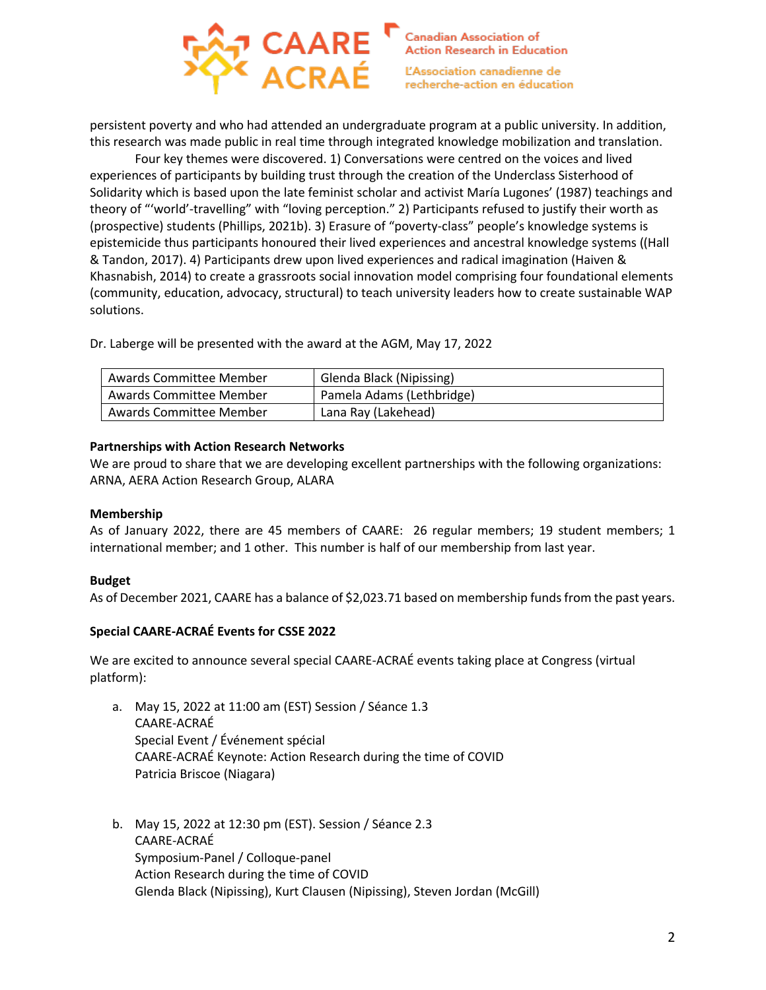

persistent poverty and who had attended an undergraduate program at a public university. In addition, this research was made public in real time through integrated knowledge mobilization and translation.

Four key themes were discovered. 1) Conversations were centred on the voices and lived experiences of participants by building trust through the creation of the Underclass Sisterhood of Solidarity which is based upon the late feminist scholar and activist María Lugones' (1987) teachings and theory of "'world'-travelling" with "loving perception." 2) Participants refused to justify their worth as (prospective) students (Phillips, 2021b). 3) Erasure of "poverty-class" people's knowledge systems is epistemicide thus participants honoured their lived experiences and ancestral knowledge systems ((Hall & Tandon, 2017). 4) Participants drew upon lived experiences and radical imagination (Haiven & Khasnabish, 2014) to create a grassroots social innovation model comprising four foundational elements (community, education, advocacy, structural) to teach university leaders how to create sustainable WAP solutions.

Dr. Laberge will be presented with the award at the AGM, May 17, 2022

| Awards Committee Member |                     | Glenda Black (Nipissing)  |
|-------------------------|---------------------|---------------------------|
| Awards Committee Member |                     | Pamela Adams (Lethbridge) |
| Awards Committee Member | Lana Ray (Lakehead) |                           |

## **Partnerships with Action Research Networks**

We are proud to share that we are developing excellent partnerships with the following organizations: ARNA, AERA Action Research Group, ALARA

## **Membership**

As of January 2022, there are 45 members of CAARE: 26 regular members; 19 student members; 1 international member; and 1 other. This number is half of our membership from last year.

## **Budget**

As of December 2021, CAARE has a balance of \$2,023.71 based on membership funds from the past years.

## **Special CAARE-ACRAÉ Events for CSSE 2022**

We are excited to announce several special CAARE-ACRAÉ events taking place at Congress (virtual platform):

- a. May 15, 2022 at 11:00 am (EST) Session / Séance 1.3 CAARE-ACRAÉ Special Event / Événement spécial CAARE-ACRAÉ Keynote: Action Research during the time of COVID Patricia Briscoe (Niagara)
- b. May 15, 2022 at 12:30 pm (EST). Session / Séance 2.3 CAARE-ACRAÉ Symposium-Panel / Colloque-panel Action Research during the time of COVID Glenda Black (Nipissing), Kurt Clausen (Nipissing), Steven Jordan (McGill)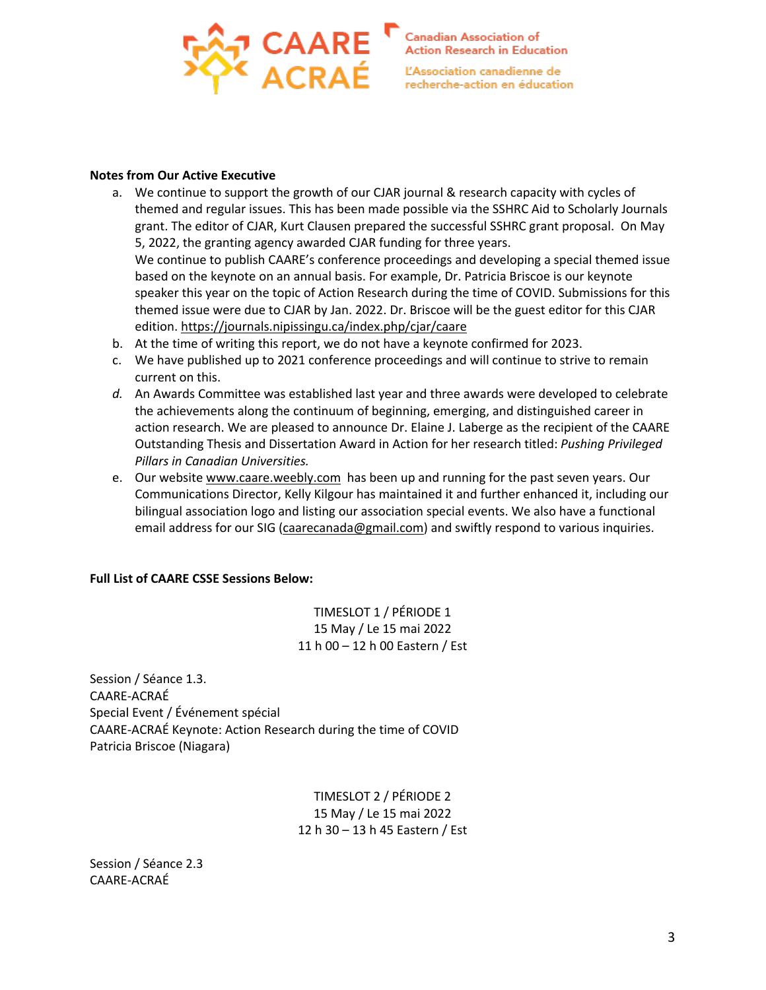

#### **Notes from Our Active Executive**

- a. We continue to support the growth of our CJAR journal & research capacity with cycles of themed and regular issues. This has been made possible via the SSHRC Aid to Scholarly Journals grant. The editor of CJAR, Kurt Clausen prepared the successful SSHRC grant proposal. On May 5, 2022, the granting agency awarded CJAR funding for three years. We continue to publish CAARE's conference proceedings and developing a special themed issue based on the keynote on an annual basis. For example, Dr. Patricia Briscoe is our keynote speaker this year on the topic of Action Research during the time of COVID. Submissions for this themed issue were due to CJAR by Jan. 2022. Dr. Briscoe will be the guest editor for this CJAR edition. https://journals.nipissingu.ca/index.php/cjar/caare
- b. At the time of writing this report, we do not have a keynote confirmed for 2023.
- c. We have published up to 2021 conference proceedings and will continue to strive to remain current on this.
- *d.* An Awards Committee was established last year and three awards were developed to celebrate the achievements along the continuum of beginning, emerging, and distinguished career in action research. We are pleased to announce Dr. Elaine J. Laberge as the recipient of the CAARE Outstanding Thesis and Dissertation Award in Action for her research titled: *Pushing Privileged Pillars in Canadian Universities.*
- e. Our website www.caare.weebly.com has been up and running for the past seven years. Our Communications Director, Kelly Kilgour has maintained it and further enhanced it, including our bilingual association logo and listing our association special events. We also have a functional email address for our SIG (caarecanada@gmail.com) and swiftly respond to various inquiries.

# **Full List of CAARE CSSE Sessions Below:**

TIMESLOT 1 / PÉRIODE 1 15 May / Le 15 mai 2022 11 h 00 – 12 h 00 Eastern / Est

Session / Séance 1.3. CAARE-ACRAÉ Special Event / Événement spécial CAARE-ACRAÉ Keynote: Action Research during the time of COVID Patricia Briscoe (Niagara)

> TIMESLOT 2 / PÉRIODE 2 15 May / Le 15 mai 2022 12 h 30 – 13 h 45 Eastern / Est

Session / Séance 2.3 CAARE-ACRAÉ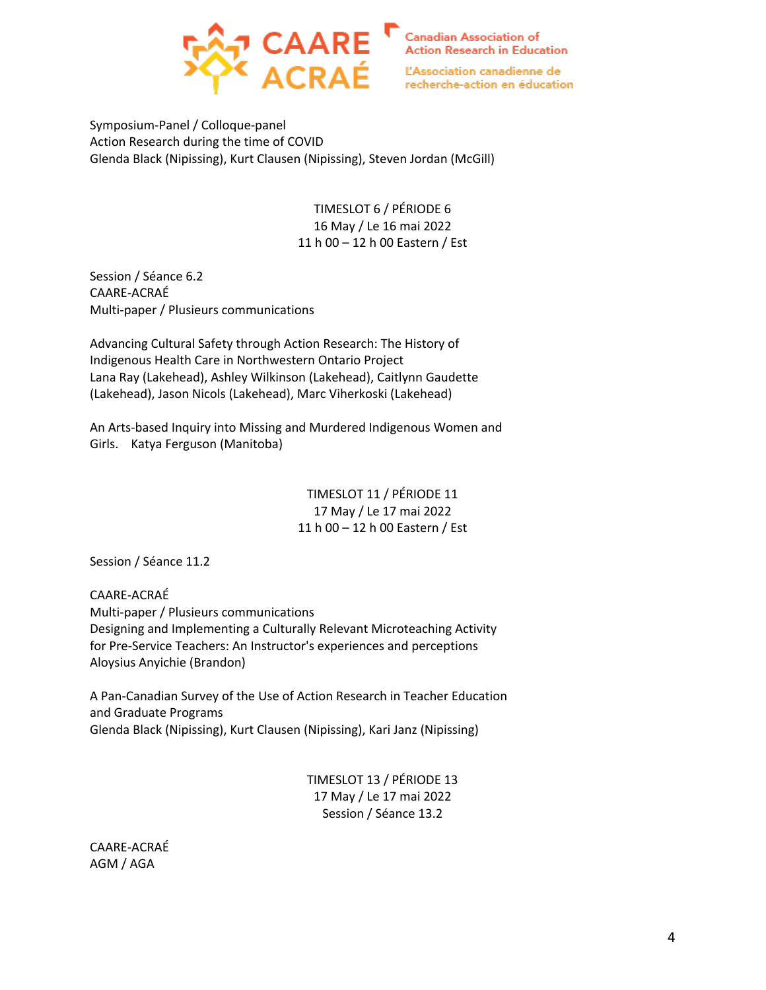

Symposium-Panel / Colloque-panel Action Research during the time of COVID Glenda Black (Nipissing), Kurt Clausen (Nipissing), Steven Jordan (McGill)

> TIMESLOT 6 / PÉRIODE 6 16 May / Le 16 mai 2022 11 h 00 – 12 h 00 Eastern / Est

Session / Séance 6.2 CAARE-ACRAÉ Multi-paper / Plusieurs communications

Advancing Cultural Safety through Action Research: The History of Indigenous Health Care in Northwestern Ontario Project Lana Ray (Lakehead), Ashley Wilkinson (Lakehead), Caitlynn Gaudette (Lakehead), Jason Nicols (Lakehead), Marc Viherkoski (Lakehead)

An Arts-based Inquiry into Missing and Murdered Indigenous Women and Girls. Katya Ferguson (Manitoba)

> TIMESLOT 11 / PÉRIODE 11 17 May / Le 17 mai 2022 11 h 00 – 12 h 00 Eastern / Est

Session / Séance 11.2

CAARE-ACRAÉ Multi-paper / Plusieurs communications Designing and Implementing a Culturally Relevant Microteaching Activity for Pre-Service Teachers: An Instructor's experiences and perceptions Aloysius Anyichie (Brandon)

A Pan-Canadian Survey of the Use of Action Research in Teacher Education and Graduate Programs Glenda Black (Nipissing), Kurt Clausen (Nipissing), Kari Janz (Nipissing)

> TIMESLOT 13 / PÉRIODE 13 17 May / Le 17 mai 2022 Session / Séance 13.2

CAARE-ACRAÉ AGM / AGA